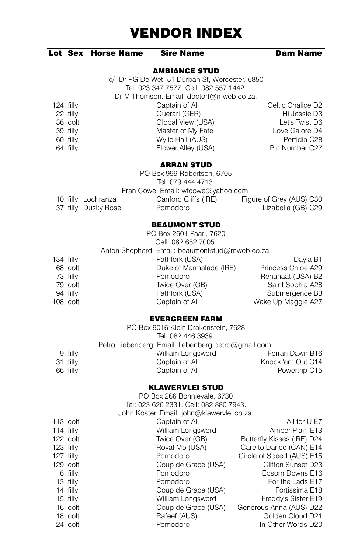|  | Lot Sex Horse Name | <b>Sire Name</b>     | <b>Dam Name</b> |
|--|--------------------|----------------------|-----------------|
|  |                    | <b>AMBIANCE STUD</b> |                 |
|  |                    |                      |                 |
|  |                    |                      |                 |

c/- Dr PG De Wet, 51 Durban St, Worcester, 6850 Tel: 023 347 7577. Cell: 082 557 1442. Dr M Thomson. Email: doctort@mweb.co.za. 124 filly Captain of All Celtic Chalice D2<br>22 filly Cuerari (GER) Celtic Chalice D3 Querari (GER)

| Global View (USA)  | Let's Twist D6 |
|--------------------|----------------|
| Master of My Fate  | Love Galore D4 |
| Wylie Hall (AUS)   | Perfidia C28   |
| Flower Alley (USA) | Pin Number C27 |
|                    |                |

#### ARRAN STUD

| PO Box 999 Robertson, 6705          |                      |                          |  |  |
|-------------------------------------|----------------------|--------------------------|--|--|
| Tel: 079 444 4713.                  |                      |                          |  |  |
| Fran Cowe. Email: wfcowe@yahoo.com. |                      |                          |  |  |
| 10 filly Lochranza                  | Canford Cliffs (IRE) | Figure of Grey (AUS) C30 |  |  |
| 37 filly Dusky Rose                 | Pomodoro             | Lizabella (GB) C29       |  |  |

#### BEAUMONT STUD

|             |          | PO Box 2601 Paarl, 7620                         |                    |
|-------------|----------|-------------------------------------------------|--------------------|
|             |          | Cell: 082 652 7005.                             |                    |
|             |          | Anton Shepherd. Email: beaumontstud@mweb.co.za. |                    |
| $134$ filly |          | Pathfork (USA)                                  | Dayla B1           |
|             | 68 colt  | Duke of Marmalade (IRE)                         | Princess Chloe A29 |
|             | 73 filly | Pomodoro                                        | Rehanaat (USA) B2  |
|             | 79 colt  | Twice Over (GB)                                 | Saint Sophia A28   |
|             | 94 filly | Pathfork (USA)                                  | Submergence B3     |
|             | 108 colt | Captain of All                                  | Wake Up Maggie A27 |
|             |          |                                                 |                    |

### EVERGREEN FARM

|          | PO Box 9016 Klein Drakenstein, 7628                  |                   |
|----------|------------------------------------------------------|-------------------|
|          | Tel: 082 446 3939.                                   |                   |
|          | Petro Liebenberg. Email: liebenberg.petro@gmail.com. |                   |
| 9 filly  | William Longsword                                    | Ferrari Dawn B16  |
| 31 filly | Captain of All                                       | Knock 'em Out C14 |
| 66 filly | Captain of All                                       | Powertrip C15     |
|          |                                                      |                   |

### KLAWERVLEI STUD

|             |            | PO Box 266 Bonnievale, 6730                |                            |
|-------------|------------|--------------------------------------------|----------------------------|
|             |            | Tel: 023 626 2331, Cell: 082 880 7943.     |                            |
|             |            | John Koster. Email: john@klawervlei.co.za. |                            |
|             | $113$ colt | Captain of All                             | All for U E7               |
| $114$ filly |            | William Longsword                          | Amber Plain E13            |
|             | $122$ colt | Twice Over (GB)                            | Butterfly Kisses (IRE) D24 |
| $123$ filly |            | Royal Mo (USA)                             | Care to Dance (CAN) E14    |
| $127$ filly |            | Pomodoro                                   | Circle of Speed (AUS) E15  |
|             | $129$ colt | Coup de Grace (USA)                        | Clifton Sunset D23         |
|             | 6 filly    | Pomodoro                                   | Epsom Downs E16            |
|             | 13 filly   | Pomodoro                                   | For the Lads E17           |
|             | 14 filly   | Coup de Grace (USA)                        | Fortissima E18             |
|             | 15 filly   | William Longsword                          | Freddy's Sister E19        |
|             | 16 colt    | Coup de Grace (USA)                        | Generous Anna (AUS) D22    |
|             | 18 colt    | Rafeef (AUS)                               | Golden Cloud D21           |
|             | 24 colt    | Pomodoro                                   | In Other Words D20         |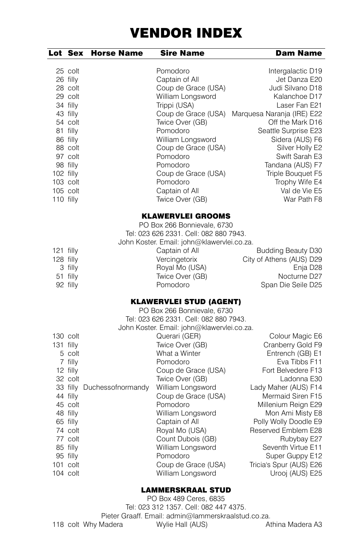| Lot Sex                                          |                                                                                                                                                   | <b>Horse Name</b>          | Sire Name                                                                                                                                                                                                                                                                                                                                                                                                                                                                           | Dam Name                                                                                                                                                                                                                                                                                                                                                     |
|--------------------------------------------------|---------------------------------------------------------------------------------------------------------------------------------------------------|----------------------------|-------------------------------------------------------------------------------------------------------------------------------------------------------------------------------------------------------------------------------------------------------------------------------------------------------------------------------------------------------------------------------------------------------------------------------------------------------------------------------------|--------------------------------------------------------------------------------------------------------------------------------------------------------------------------------------------------------------------------------------------------------------------------------------------------------------------------------------------------------------|
| 102 filly<br>103 colt<br>$105$ colt<br>110 filly | 25 colt<br>26 filly<br>28 colt<br>29 colt<br>34 filly<br>43 filly<br>54 colt<br>81 filly<br>86 filly<br>88 colt<br>97 colt<br>98 filly            |                            | Pomodoro<br>Captain of All<br>Coup de Grace (USA)<br>William Longsword<br>Trippi (USA)<br>Coup de Grace (USA)<br>Twice Over (GB)<br>Pomodoro<br>William Longsword<br>Coup de Grace (USA)<br>Pomodoro<br>Pomodoro<br>Coup de Grace (USA)<br>Pomodoro<br>Captain of All<br>Twice Over (GB)                                                                                                                                                                                            | Intergalactic D19<br>Jet Danza E20<br>Judi Silvano D18<br>Kalanchoe D17<br>Laser Fan E21<br>Marquesa Naranja (IRE) E22<br>Off the Mark D16<br>Seattle Surprise E23<br>Sidera (AUS) F6<br>Silver Holly E2<br>Swift Sarah E3<br>Tandana (AUS) F7<br>Triple Bouquet F5<br>Trophy Wife E4<br>Val de Vie E5<br>War Path F8                                        |
| $121$ filly<br>128 filly                         | 3 filly<br>51 filly<br>92 filly                                                                                                                   |                            | <b>KLAWERVLEI GROOMS</b><br>PO Box 266 Bonnievale, 6730<br>Tel: 023 626 2331, Cell: 082 880 7943.<br>John Koster. Email: john@klawervlei.co.za.<br>Captain of All<br>Vercingetorix<br>Royal Mo (USA)<br>Twice Over (GB)<br>Pomodoro                                                                                                                                                                                                                                                 | <b>Budding Beauty D30</b><br>City of Athens (AUS) D29<br>Enja D28<br>Nocturne D27<br>Span Die Seile D25                                                                                                                                                                                                                                                      |
| $131$ filly<br>101 colt<br>104 colt              | 130 colt<br>5 colt<br>7 filly<br>12 filly<br>32 colt<br>44 filly<br>45 colt<br>48 filly<br>65 filly<br>74 colt<br>77 colt<br>85 filly<br>95 filly | 33 filly Duchessofnormandy | <b>KLAWERVLEI STUD (AGENT)</b><br>PO Box 266 Bonnievale, 6730<br>Tel: 023 626 2331. Cell: 082 880 7943.<br>John Koster. Email: john@klawervlei.co.za.<br>Querari (GER)<br>Twice Over (GB)<br>What a Winter<br>Pomodoro<br>Coup de Grace (USA)<br>Twice Over (GB)<br>William Longsword<br>Coup de Grace (USA)<br>Pomodoro<br>William Longsword<br>Captain of All<br>Royal Mo (USA)<br>Count Dubois (GB)<br>William Longsword<br>Pomodoro<br>Coup de Grace (USA)<br>William Longsword | Colour Magic E6<br>Cranberry Gold F9<br>Entrench (GB) E1<br>Eva Tibbs F11<br>Fort Belvedere F13<br>Ladonna E30<br>Lady Maher (AUS) F14<br>Mermaid Siren F15<br>Millenium Reign E29<br>Mon Ami Misty E8<br>Polly Wolly Doodle E9<br>Reserved Emblem E28<br>Rubybay E27<br>Seventh Virtue E11<br>Super Guppy E12<br>Tricia's Spur (AUS) E26<br>Urooj (AUS) E25 |

## LAMMERSKRAAL STUD

PO Box 489 Ceres, 6835 Tel: 023 312 1357. Cell: 082 447 4375. Pieter Graaff. Email: admin@lammerskraalstud.co.za. 118 colt Why Madera **Wylie Hall (AUS)** Athina Madera A3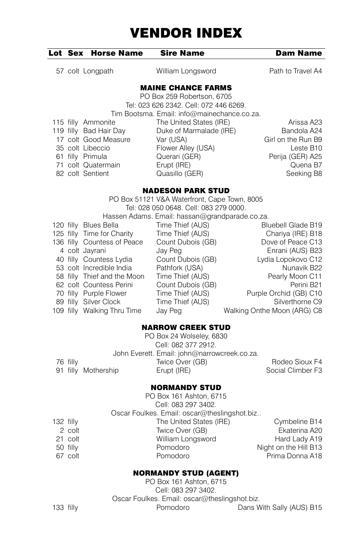|  | Lot Sex Horse Name Sire Name |                                                                      | <b>Dam Name</b>    |
|--|------------------------------|----------------------------------------------------------------------|--------------------|
|  | 57 colt Longpath             | William Longsword                                                    | Path to Travel A4  |
|  |                              | <b>MAINE CHANCE FARMS</b>                                            |                    |
|  |                              | PO Box 259 Robertson, 6705<br>Tel: 023 626 2342, Cell: 072 446 6269. |                    |
|  |                              |                                                                      |                    |
|  |                              | Tim Bootsma. Email: info@mainechance.co.za.                          |                    |
|  | 115 filly Ammonite           | The United States (IRE)                                              | Arissa A23         |
|  | 119 filly Bad Hair Day       | Duke of Marmalade (IRE)                                              | Bandola A24        |
|  | 17 colt Good Measure         | Var (USA)                                                            | Girl on the Run B9 |
|  | 35 colt Libeccio             | Flower Alley (USA)                                                   | Leste B10          |
|  | 61 filly Primula             | Querari (GER)                                                        | Perija (GER) A25   |
|  | 71 colt Quatermain           | Erupt (IRE)                                                          | Quena B7           |
|  | 82 colt Sentient             | Quasillo (GER)                                                       | Seeking B8         |
|  |                              | <b>NADESON PARK STUD</b>                                             |                    |
|  |                              |                                                                      |                    |

| PO Box 51121 V&A Waterfront, Cape Town, 8005 |                             |                                                |                             |  |
|----------------------------------------------|-----------------------------|------------------------------------------------|-----------------------------|--|
| Tel: 028 050 0648, Cell: 083 279 0000.       |                             |                                                |                             |  |
|                                              |                             | Hassen Adams. Email: hassan@grandparade.co.za. |                             |  |
|                                              | 120 filly Blues Bella       | Time Thief (AUS)                               | <b>Bluebell Glade B19</b>   |  |
|                                              | 125 filly Time for Charity  | Time Thief (AUS)                               | Chariya (IRE) B18           |  |
|                                              | 136 filly Countess of Peace | Count Dubois (GB)                              | Dove of Peace C13           |  |
|                                              | 4 colt Jayrani              | Jay Peg                                        | Enrani (AUS) B23            |  |
|                                              | 40 filly Countess Lydia     | Count Dubois (GB)                              | Lydia Lopokovo C12          |  |
|                                              | 53 colt Incredible India    | Pathfork (USA)                                 | Nunavik B22                 |  |
|                                              | 58 filly Thief and the Moon | Time Thief (AUS)                               | Pearly Moon C11             |  |
|                                              | 62 colt Countess Perini     | Count Dubois (GB)                              | Perini B <sub>21</sub>      |  |
|                                              | 70 filly Purple Flower      | Time Thief (AUS)                               | Purple Orchid (GB) C10      |  |
|                                              | 89 filly Silver Clock       | Time Thief (AUS)                               | Silverthorne C9             |  |
|                                              | 109 filly Walking Thru Time | Jay Peg                                        | Walking Onthe Moon (ARG) C8 |  |

#### NARROW CREEK STUD

|          |                     | PO Box 24 Wolseley, 6830                     |                   |
|----------|---------------------|----------------------------------------------|-------------------|
|          |                     | Cell: 082 377 2912.                          |                   |
|          |                     | John Everett. Email: john@narrowcreek.co.za. |                   |
| 76 filly |                     | Twice Over (GB)                              | Rodeo Sioux F4    |
|          | 91 filly Mothership | Erupt (IRE)                                  | Social Climber F3 |
|          |                     |                                              |                   |

### NORMANDY STUD

|             |          | PO Box 161 Ashton, 6715                      |                       |
|-------------|----------|----------------------------------------------|-----------------------|
|             |          | Cell: 083 297 3402.                          |                       |
|             |          | Oscar Foulkes. Email: oscar@theslingshot.biz |                       |
| $132$ filly |          | The United States (IRE)                      | Cymbeline B14         |
|             | 2 colt   | Twice Over (GB)                              | Ekaterina A20         |
|             | 21 colt  | William Longsword                            | Hard Lady A19         |
|             | 50 filly | Pomodoro                                     | Night on the Hill B13 |
|             | 67 colt  | Pomodoro                                     | Prima Donna A18       |
|             |          |                                              |                       |

## NORMANDY STUD (AGENT)

PO Box 161 Ashton, 6715 Cell: 083 297 3402. Oscar Foulkes. Email: oscar@theslingshot.biz. 133 filly **Pomodoro** Dans With Sally (AUS) B15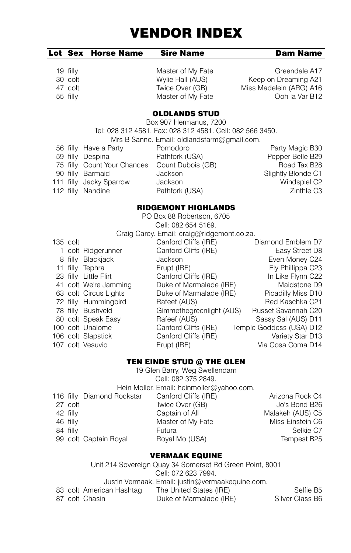|          | Lot Sex Horse Name | <b>Sire Name</b>  | <b>Dam Name</b> |
|----------|--------------------|-------------------|-----------------|
| 19 filly |                    | Master of My Fate | Greendale A17   |

30 colt Wylie Hall (AUS) Keep on Dreaming A21 47 colt Twice Over (GB) Miss Madelein (ARG) A16 55 filly Master of My Fate Ooh la Var B12

## OLDLANDS STUD

Box 907 Hermanus, 7200 Tel: 028 312 4581. Fax: 028 312 4581. Cell: 082 566 3450. Mrs B Sanne. Email: oldlandsfarm@gmail.com. 56 filly Have a Party **Pomodoro** Party Magic B30<br>
59 filly Despina **Pathfork (USA)** Pepper Belle B29 59 filly Despina Pathfork (USA) Pepper Belle B29<br>75 filly Count Your Chances Count Dubois (GB) Road Tax B28 75 filly Count Your Chances Count Dubois (GB) Road Tax B28<br>
90 filly Barmaid Jackson Slightly Blonde C1 90 filly Barmaid Jackson Slightly Blonde C1 111 filly Jacky Sparrow Jackson Windspiel C2 112 filly Nandine **Canadia Care Pathfork (USA)** Controlled Manus Pathfork (USA)

## RIDGEMONT HIGHLANDS

| PO Box 88 Robertson, 6705                  |            |                       |                          |                          |  |
|--------------------------------------------|------------|-----------------------|--------------------------|--------------------------|--|
| Cell: 082 654 5169.                        |            |                       |                          |                          |  |
| Craig Carey. Email: craig@ridgemont.co.za. |            |                       |                          |                          |  |
|                                            | $135$ colt |                       | Canford Cliffs (IRE)     | Diamond Emblem D7        |  |
|                                            |            | 1 colt Ridgerunner    | Canford Cliffs (IRE)     | Easy Street D8           |  |
|                                            |            | 8 filly Blackjack     | Jackson                  | Even Money C24           |  |
|                                            |            | 11 filly Tephra       | Erupt (IRE)              | Fly Phillippa C23        |  |
|                                            |            | 23 filly Little Flirt | Canford Cliffs (IRE)     | In Like Flynn C22        |  |
|                                            |            | 41 colt We're Jamming | Duke of Marmalade (IRE)  | Maidstone D9             |  |
|                                            |            | 63 colt Circus Lights | Duke of Marmalade (IRE)  | Picadilly Miss D10       |  |
|                                            |            | 72 filly Hummingbird  | Rafeef (AUS)             | Red Kaschka C21          |  |
|                                            |            | 78 filly Bushveld     | Gimmethegreenlight (AUS) | Russet Savannah C20      |  |
|                                            |            | 80 colt Speak Easy    | Rafeef (AUS)             | Sassy Sal (AUS) D11      |  |
|                                            |            | 100 colt Unalome      | Canford Cliffs (IRE)     | Temple Goddess (USA) D12 |  |
|                                            |            | 106 colt Slapstick    | Canford Cliffs (IRE)     | Variety Star D13         |  |
|                                            |            | 107 colt Vesuvio      | Erupt (IRE)              | Via Cosa Coma D14        |  |

#### TEN EINDE STUD @ THE GLEN

| 19 Glen Barry, Weg Swellendam             |          |                            |                      |                  |  |
|-------------------------------------------|----------|----------------------------|----------------------|------------------|--|
|                                           |          |                            | Cell: 082 375 2849.  |                  |  |
| Hein Moller. Email: heinmoller@yahoo.com. |          |                            |                      |                  |  |
|                                           |          | 116 filly Diamond Rockstar | Canford Cliffs (IRE) | Arizona Rock C4  |  |
|                                           | 27 colt  |                            | Twice Over (GB)      | Jo's Bond B26    |  |
|                                           | 42 filly |                            | Captain of All       | Malakeh (AUS) C5 |  |
|                                           | 46 filly |                            | Master of My Fate    | Miss Einstein C6 |  |
|                                           | 84 filly |                            | Futura               | Selkie C7        |  |
|                                           |          | 99 colt Captain Royal      | Royal Mo (USA)       | Tempest B25      |  |
|                                           |          |                            |                      |                  |  |

#### VERMAAK EQUINE

| Unit 214 Sovereign Quay 34 Somerset Rd Green Point, 8001 |                                                  |                          |                         |                 |  |  |
|----------------------------------------------------------|--------------------------------------------------|--------------------------|-------------------------|-----------------|--|--|
|                                                          | Cell: 072 623 7994.                              |                          |                         |                 |  |  |
|                                                          | Justin Vermaak. Email: justin@vermaakequine.com. |                          |                         |                 |  |  |
|                                                          |                                                  | 83 colt American Hashtag | The United States (IRE) | Selfie B5       |  |  |
|                                                          |                                                  | 87 colt Chasin           | Duke of Marmalade (IRE) | Silver Class B6 |  |  |